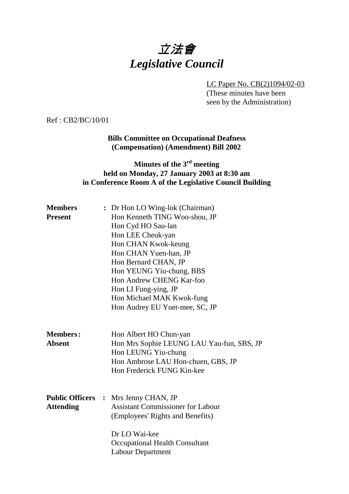# 立法會 *Legislative Council*

LC Paper No. CB(2)1094/02-03 (These minutes have been seen by the Administration)

Ref : CB2/BC/10/01

#### **Bills Committee on Occupational Deafness (Compensation) (Amendment) Bill 2002**

#### **Minutes of the 3rd meeting held on Monday, 27 January 2003 at 8:30 am in Conference Room A of the Legislative Council Building**

| <b>Members</b>                   |  | : Dr Hon LO Wing-lok (Chairman)                                                                                                                                |
|----------------------------------|--|----------------------------------------------------------------------------------------------------------------------------------------------------------------|
| <b>Present</b>                   |  | Hon Kenneth TING Woo-shou, JP                                                                                                                                  |
|                                  |  | Hon Cyd HO Sau-lan                                                                                                                                             |
|                                  |  | Hon LEE Cheuk-yan                                                                                                                                              |
|                                  |  | Hon CHAN Kwok-keung                                                                                                                                            |
|                                  |  | Hon CHAN Yuen-han, JP                                                                                                                                          |
|                                  |  | Hon Bernard CHAN, JP                                                                                                                                           |
|                                  |  | Hon YEUNG Yiu-chung, BBS                                                                                                                                       |
|                                  |  | Hon Andrew CHENG Kar-foo                                                                                                                                       |
|                                  |  | Hon LI Fung-ying, JP                                                                                                                                           |
|                                  |  | Hon Michael MAK Kwok-fung                                                                                                                                      |
|                                  |  | Hon Audrey EU Yuet-mee, SC, JP                                                                                                                                 |
| <b>Members:</b><br><b>Absent</b> |  | Hon Albert HO Chun-yan<br>Hon Mrs Sophie LEUNG LAU Yau-fun, SBS, JP<br>Hon LEUNG Yiu-chung<br>Hon Ambrose LAU Hon-chuen, GBS, JP<br>Hon Frederick FUNG Kin-kee |
|                                  |  | <b>Public Officers :</b> Mrs Jenny CHAN, JP                                                                                                                    |
| <b>Attending</b>                 |  | <b>Assistant Commissioner for Labour</b>                                                                                                                       |
|                                  |  | (Employees' Rights and Benefits)                                                                                                                               |
|                                  |  | Dr LO Wai-kee                                                                                                                                                  |
|                                  |  | <b>Occupational Health Consultant</b>                                                                                                                          |
|                                  |  | <b>Labour Department</b>                                                                                                                                       |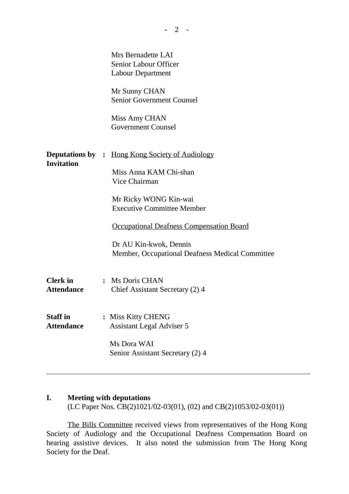|                                      | Mrs Bernadette LAI<br>Senior Labour Officer<br><b>Labour Department</b><br>Mr Sunny CHAN<br><b>Senior Government Counsel</b><br>Miss Amy CHAN<br><b>Government Counsel</b>                                                                                                                      |
|--------------------------------------|-------------------------------------------------------------------------------------------------------------------------------------------------------------------------------------------------------------------------------------------------------------------------------------------------|
| <b>Invitation</b>                    | <b>Deputations by :</b> Hong Kong Society of Audiology<br>Miss Anna KAM Chi-shan<br>Vice Chairman<br>Mr Ricky WONG Kin-wai<br><b>Executive Committee Member</b><br><b>Occupational Deafness Compensation Board</b><br>Dr AU Kin-kwok, Dennis<br>Member, Occupational Deafness Medical Committee |
| <b>Clerk</b> in<br><b>Attendance</b> | : Ms Doris CHAN<br>Chief Assistant Secretary (2) 4                                                                                                                                                                                                                                              |
| <b>Staff in</b><br><b>Attendance</b> | <b>Miss Kitty CHENG</b><br><b>Assistant Legal Adviser 5</b><br>Ms Dora WAI<br>Senior Assistant Secretary (2) 4                                                                                                                                                                                  |

#### **I. Meeting with deputations**

ı

(LC Paper Nos. CB(2)1021/02-03(01), (02) and CB(2)1053/02-03(01))

The Bills Committee received views from representatives of the Hong Kong Society of Audiology and the Occupational Deafness Compensation Board on hearing assistive devices. It also noted the submission from The Hong Kong Society for the Deaf.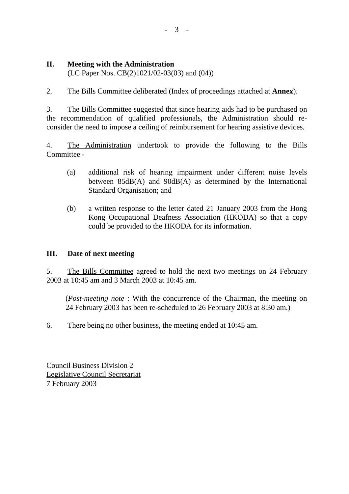# **II. Meeting with the Administration**

(LC Paper Nos. CB(2)1021/02-03(03) and (04))

2. The Bills Committee deliberated (Index of proceedings attached at **Annex**).

3. The Bills Committee suggested that since hearing aids had to be purchased on the recommendation of qualified professionals, the Administration should reconsider the need to impose a ceiling of reimbursement for hearing assistive devices.

4. The Administration undertook to provide the following to the Bills Committee -

- (a) additional risk of hearing impairment under different noise levels between 85dB(A) and 90dB(A) as determined by the International Standard Organisation; and
- (b) a written response to the letter dated 21 January 2003 from the Hong Kong Occupational Deafness Association (HKODA) so that a copy could be provided to the HKODA for its information.

### **III. Date of next meeting**

5. The Bills Committee agreed to hold the next two meetings on 24 February 2003 at 10:45 am and 3 March 2003 at 10:45 am.

(*Post-meeting note* : With the concurrence of the Chairman, the meeting on 24 February 2003 has been re-scheduled to 26 February 2003 at 8:30 am.)

6. There being no other business, the meeting ended at 10:45 am.

Council Business Division 2 Legislative Council Secretariat 7 February 2003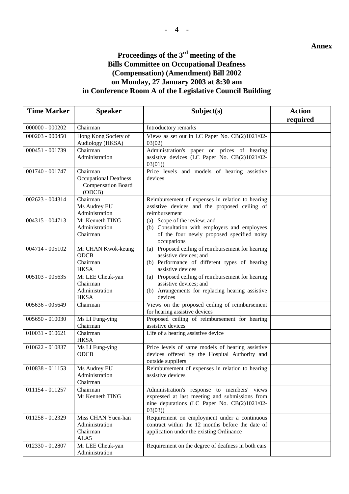#### **Annex**

# **Proceedings of the 3rd meeting of the Bills Committee on Occupational Deafness**

## **(Compensation) (Amendment) Bill 2002 on Monday, 27 January 2003 at 8:30 am in Conference Room A of the Legislative Council Building**

| <b>Time Marker</b> | <b>Speaker</b>                                                                  | Subject(s)                                                                                                                                              | <b>Action</b> |
|--------------------|---------------------------------------------------------------------------------|---------------------------------------------------------------------------------------------------------------------------------------------------------|---------------|
|                    |                                                                                 |                                                                                                                                                         | required      |
| $000000 - 000202$  | Chairman                                                                        | Introductory remarks                                                                                                                                    |               |
| $000203 - 000450$  | Hong Kong Society of<br>Audiology (HKSA)                                        | Views as set out in LC Paper No. CB(2)1021/02-<br>03(02)                                                                                                |               |
| 000451 - 001739    | Chairman<br>Administration                                                      | Administration's paper on prices of hearing<br>assistive devices (LC Paper No. CB(2)1021/02-<br>03(01)                                                  |               |
| 001740 - 001747    | Chairman<br><b>Occupational Deafness</b><br><b>Compensation Board</b><br>(ODCB) | Price levels and models of hearing assistive<br>devices                                                                                                 |               |
| 002623 - 004314    | Chairman<br>Ms Audrey EU<br>Administration                                      | Reimbursement of expenses in relation to hearing<br>assistive devices and the proposed ceiling of<br>reimbursement                                      |               |
| 004315 - 004713    | Mr Kenneth TING<br>Administration<br>Chairman                                   | (a) Scope of the review; and<br>(b) Consultation with employers and employees<br>of the four newly proposed specified noisy<br>occupations              |               |
| 004714 - 005102    | Mr CHAN Kwok-keung<br><b>ODCB</b><br>Chairman<br><b>HKSA</b>                    | (a) Proposed ceiling of reimbursement for hearing<br>assistive devices; and<br>(b) Performance of different types of hearing<br>assistive devices       |               |
| 005103 - 005635    | Mr LEE Cheuk-yan<br>Chairman<br>Administration<br><b>HKSA</b>                   | (a) Proposed ceiling of reimbursement for hearing<br>assistive devices; and<br>(b) Arrangements for replacing hearing assistive<br>devices              |               |
| 005636 - 005649    | Chairman                                                                        | Views on the proposed ceiling of reimbursement<br>for hearing assistive devices                                                                         |               |
| $005650 - 010030$  | Ms LI Fung-ying<br>Chairman                                                     | Proposed ceiling of reimbursement for hearing<br>assistive devices                                                                                      |               |
| $010031 - 010621$  | Chairman<br><b>HKSA</b>                                                         | Life of a hearing assistive device                                                                                                                      |               |
| 010622 - 010837    | Ms LI Fung-ying<br><b>ODCB</b>                                                  | Price levels of same models of hearing assistive<br>devices offered by the Hospital Authority and<br>outside suppliers                                  |               |
| 010838 - 011153    | Ms Audrey EU<br>Administration<br>Chairman                                      | Reimbursement of expenses in relation to hearing<br>assistive devices                                                                                   |               |
| 011154 - 011257    | Chairman<br>Mr Kenneth TING                                                     | Administration's response to members' views<br>expressed at last meeting and submissions from<br>nine deputations (LC Paper No. CB(2)1021/02-<br>03(03) |               |
| 011258 - 012329    | Miss CHAN Yuen-han<br>Administration<br>Chairman<br>ALA5                        | Requirement on employment under a continuous<br>contract within the 12 months before the date of<br>application under the existing Ordinance            |               |
| 012330 - 012807    | Mr LEE Cheuk-yan<br>Administration                                              | Requirement on the degree of deafness in both ears                                                                                                      |               |